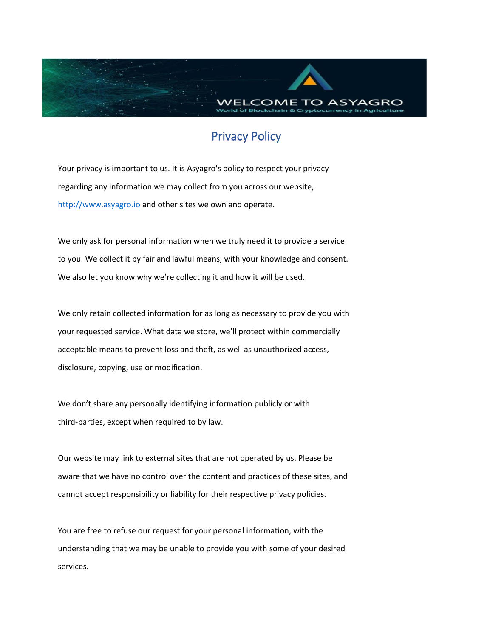

## Privacy Policy

Your privacy is important to us. It is Asyagro's policy to respect your privacy regarding any information we may collect from you across our website, [http://www.asyagro.io](http://www.asyagro.io/) and other sites we own and operate.

We only ask for personal information when we truly need it to provide a service to you. We collect it by fair and lawful means, with your knowledge and consent. We also let you know why we're collecting it and how it will be used.

We only retain collected information for as long as necessary to provide you with your requested service. What data we store, we'll protect within commercially acceptable means to prevent loss and theft, as well as unauthorized access, disclosure, copying, use or modification.

We don't share any personally identifying information publicly or with third-parties, except when required to by law.

Our website may link to external sites that are not operated by us. Please be aware that we have no control over the content and practices of these sites, and cannot accept responsibility or liability for their respective privacy policies.

You are free to refuse our request for your personal information, with the understanding that we may be unable to provide you with some of your desired services.